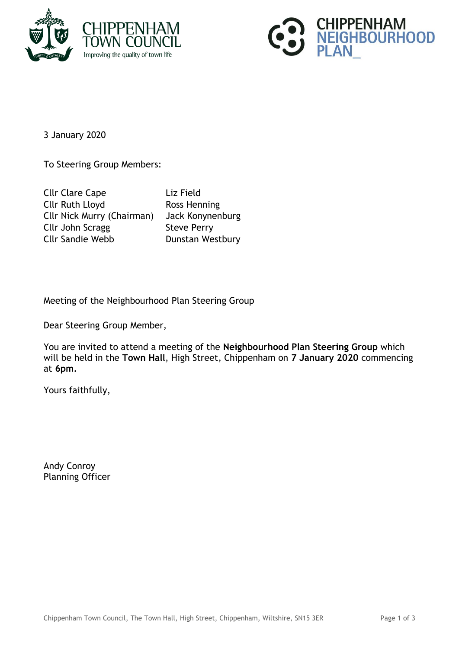



3 January 2020

To Steering Group Members:

Cllr Clare Cape Liz Field Cllr Ruth Lloyd Ross Henning Cllr Nick Murry (Chairman) Jack Konynenburg Cllr John Scragg Steve Perry Cllr Sandie Webb **Dunstan Westbury** 

Meeting of the Neighbourhood Plan Steering Group

Dear Steering Group Member,

You are invited to attend a meeting of the **Neighbourhood Plan Steering Group** which will be held in the **Town Hall**, High Street, Chippenham on **7 January 2020** commencing at **6pm.**

Yours faithfully,

Andy Conroy Planning Officer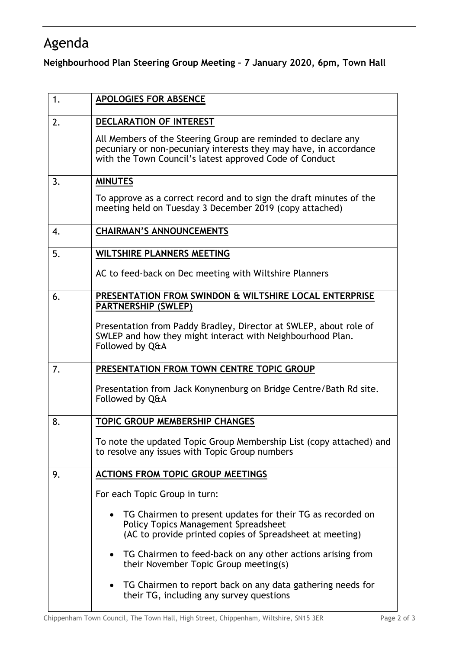## Agenda

**Neighbourhood Plan Steering Group Meeting – 7 January 2020, 6pm, Town Hall**

| 1. | <b>APOLOGIES FOR ABSENCE</b>                                                                                                                                                                  |
|----|-----------------------------------------------------------------------------------------------------------------------------------------------------------------------------------------------|
| 2. | DECLARATION OF INTEREST                                                                                                                                                                       |
|    | All Members of the Steering Group are reminded to declare any<br>pecuniary or non-pecuniary interests they may have, in accordance<br>with the Town Council's latest approved Code of Conduct |
| 3. | <b>MINUTES</b>                                                                                                                                                                                |
|    | To approve as a correct record and to sign the draft minutes of the<br>meeting held on Tuesday 3 December 2019 (copy attached)                                                                |
| 4. | <b>CHAIRMAN'S ANNOUNCEMENTS</b>                                                                                                                                                               |
| 5. | <b>WILTSHIRE PLANNERS MEETING</b>                                                                                                                                                             |
|    | AC to feed-back on Dec meeting with Wiltshire Planners                                                                                                                                        |
| 6. | PRESENTATION FROM SWINDON & WILTSHIRE LOCAL ENTERPRISE<br><b>PARTNERSHIP (SWLEP)</b>                                                                                                          |
|    | Presentation from Paddy Bradley, Director at SWLEP, about role of<br>SWLEP and how they might interact with Neighbourhood Plan.<br>Followed by Q&A                                            |
| 7. | PRESENTATION FROM TOWN CENTRE TOPIC GROUP                                                                                                                                                     |
|    | Presentation from Jack Konynenburg on Bridge Centre/Bath Rd site.<br>Followed by Q&A                                                                                                          |
| 8. | <b>TOPIC GROUP MEMBERSHIP CHANGES</b>                                                                                                                                                         |
|    | To note the updated Topic Group Membership List (copy attached) and<br>to resolve any issues with Topic Group numbers                                                                         |
| 9. | <b>ACTIONS FROM TOPIC GROUP MEETINGS</b>                                                                                                                                                      |
|    | For each Topic Group in turn:                                                                                                                                                                 |
|    | TG Chairmen to present updates for their TG as recorded on<br><b>Policy Topics Management Spreadsheet</b><br>(AC to provide printed copies of Spreadsheet at meeting)                         |
|    | TG Chairmen to feed-back on any other actions arising from<br>$\bullet$<br>their November Topic Group meeting(s)                                                                              |
|    | TG Chairmen to report back on any data gathering needs for<br>their TG, including any survey questions                                                                                        |